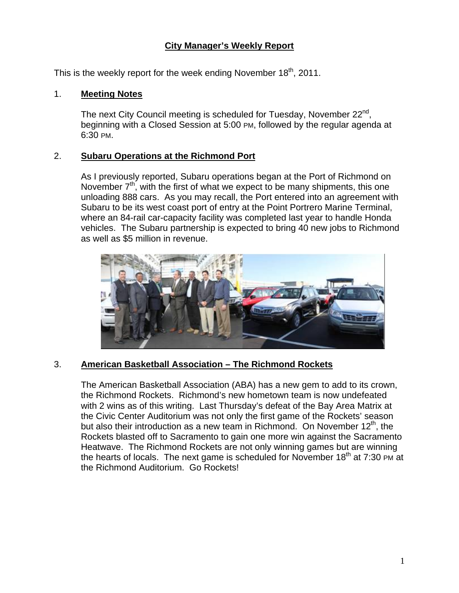# **City Manager's Weekly Report**

This is the weekly report for the week ending November  $18<sup>th</sup>$ , 2011.

#### 1. **Meeting Notes**

The next City Council meeting is scheduled for Tuesday, November  $22^{nd}$ , beginning with a Closed Session at 5:00 PM, followed by the regular agenda at 6:30 PM.

#### 2. **Subaru Operations at the Richmond Port**

As I previously reported, Subaru operations began at the Port of Richmond on November  $7<sup>th</sup>$ , with the first of what we expect to be many shipments, this one unloading 888 cars. As you may recall, the Port entered into an agreement with Subaru to be its west coast port of entry at the Point Portrero Marine Terminal, where an 84-rail car-capacity facility was completed last year to handle Honda vehicles. The Subaru partnership is expected to bring 40 new jobs to Richmond as well as \$5 million in revenue.



# 3. **American Basketball Association – The Richmond Rockets**

The American Basketball Association (ABA) has a new gem to add to its crown, the Richmond Rockets. Richmond's new hometown team is now undefeated with 2 wins as of this writing. Last Thursday's defeat of the Bay Area Matrix at the Civic Center Auditorium was not only the first game of the Rockets' season but also their introduction as a new team in Richmond. On November  $12<sup>th</sup>$ , the Rockets blasted off to Sacramento to gain one more win against the Sacramento Heatwave. The Richmond Rockets are not only winning games but are winning the hearts of locals. The next game is scheduled for November  $18<sup>th</sup>$  at 7:30 PM at the Richmond Auditorium. Go Rockets!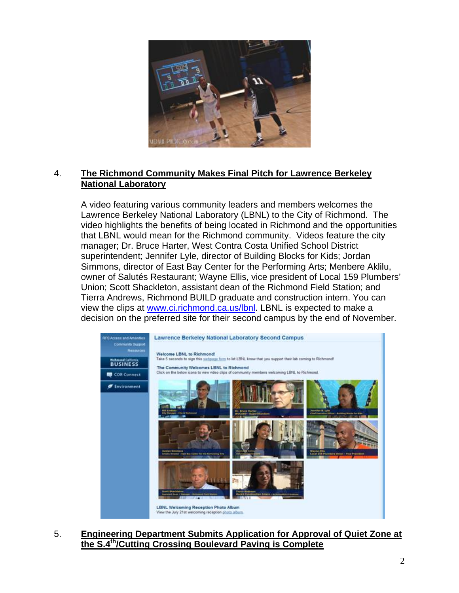

#### 4. **The Richmond Community Makes Final Pitch for Lawrence Berkeley National Laboratory**

A video featuring various community leaders and members welcomes the Lawrence Berkeley National Laboratory (LBNL) to the City of Richmond. The video highlights the benefits of being located in Richmond and the opportunities that LBNL would mean for the Richmond community. Videos feature the city manager; Dr. Bruce Harter, West Contra Costa Unified School District superintendent; Jennifer Lyle, director of Building Blocks for Kids; Jordan Simmons, director of East Bay Center for the Performing Arts; Menbere Aklilu, owner of Salutés Restaurant; Wayne Ellis, vice president of Local 159 Plumbers' Union; Scott Shackleton, assistant dean of the Richmond Field Station; and Tierra Andrews, Richmond BUILD graduate and construction intern. You can view the clips at www.ci.richmond.ca.us/lbnl. LBNL is expected to make a decision on the preferred site for their second campus by the end of November.



5. **Engineering Department Submits Application for Approval of Quiet Zone at the S.4th/Cutting Crossing Boulevard Paving is Complete**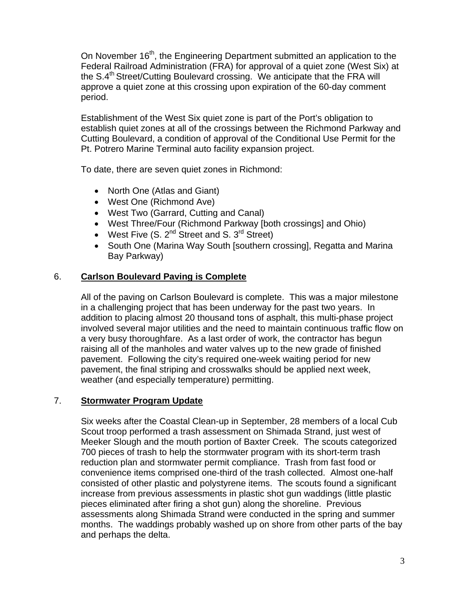On November 16<sup>th</sup>, the Engineering Department submitted an application to the Federal Railroad Administration (FRA) for approval of a quiet zone (West Six) at the  $S.4<sup>th</sup>$  Street/Cutting Boulevard crossing. We anticipate that the FRA will approve a quiet zone at this crossing upon expiration of the 60-day comment period.

Establishment of the West Six quiet zone is part of the Port's obligation to establish quiet zones at all of the crossings between the Richmond Parkway and Cutting Boulevard, a condition of approval of the Conditional Use Permit for the Pt. Potrero Marine Terminal auto facility expansion project.

To date, there are seven quiet zones in Richmond:

- North One (Atlas and Giant)
- West One (Richmond Ave)
- West Two (Garrard, Cutting and Canal)
- West Three/Four (Richmond Parkway [both crossings] and Ohio)
- West Five  $(S, 2^{nd}$  Street and S.  $3^{rd}$  Street)
- South One (Marina Way South [southern crossing], Regatta and Marina Bay Parkway)

# 6. **Carlson Boulevard Paving is Complete**

All of the paving on Carlson Boulevard is complete. This was a major milestone in a challenging project that has been underway for the past two years. In addition to placing almost 20 thousand tons of asphalt, this multi-phase project involved several major utilities and the need to maintain continuous traffic flow on a very busy thoroughfare. As a last order of work, the contractor has begun raising all of the manholes and water valves up to the new grade of finished pavement. Following the city's required one-week waiting period for new pavement, the final striping and crosswalks should be applied next week, weather (and especially temperature) permitting.

# 7. **Stormwater Program Update**

Six weeks after the Coastal Clean-up in September, 28 members of a local Cub Scout troop performed a trash assessment on Shimada Strand, just west of Meeker Slough and the mouth portion of Baxter Creek. The scouts categorized 700 pieces of trash to help the stormwater program with its short-term trash reduction plan and stormwater permit compliance. Trash from fast food or convenience items comprised one-third of the trash collected. Almost one-half consisted of other plastic and polystyrene items. The scouts found a significant increase from previous assessments in plastic shot gun waddings (little plastic pieces eliminated after firing a shot gun) along the shoreline. Previous assessments along Shimada Strand were conducted in the spring and summer months. The waddings probably washed up on shore from other parts of the bay and perhaps the delta.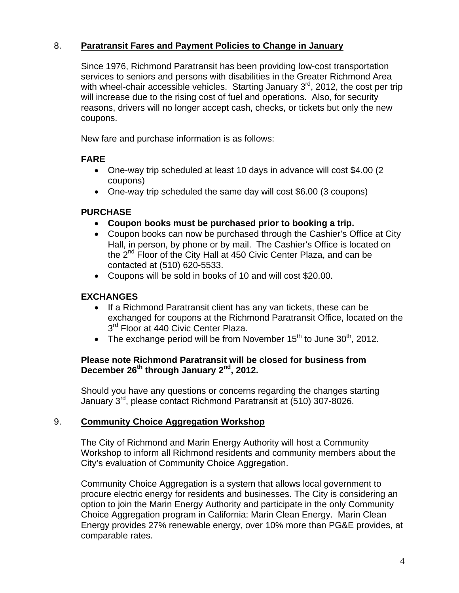# 8. **Paratransit Fares and Payment Policies to Change in January**

Since 1976, Richmond Paratransit has been providing low-cost transportation services to seniors and persons with disabilities in the Greater Richmond Area with wheel-chair accessible vehicles. Starting January  $3<sup>rd</sup>$ , 2012, the cost per trip will increase due to the rising cost of fuel and operations. Also, for security reasons, drivers will no longer accept cash, checks, or tickets but only the new coupons.

New fare and purchase information is as follows:

# **FARE**

- One-way trip scheduled at least 10 days in advance will cost \$4.00 (2 coupons)
- One-way trip scheduled the same day will cost \$6.00 (3 coupons)

# **PURCHASE**

- **Coupon books must be purchased prior to booking a trip.**
- Coupon books can now be purchased through the Cashier's Office at City Hall, in person, by phone or by mail. The Cashier's Office is located on the 2<sup>nd</sup> Floor of the City Hall at 450 Civic Center Plaza, and can be contacted at (510) 620-5533.
- Coupons will be sold in books of 10 and will cost \$20.00.

# **EXCHANGES**

- If a Richmond Paratransit client has any van tickets, these can be exchanged for coupons at the Richmond Paratransit Office, located on the 3<sup>rd</sup> Floor at 440 Civic Center Plaza.
- The exchange period will be from November  $15<sup>th</sup>$  to June  $30<sup>th</sup>$ , 2012.

#### **Please note Richmond Paratransit will be closed for business from**  December 26<sup>th</sup> through January 2<sup>nd</sup>, 2012.

Should you have any questions or concerns regarding the changes starting January 3rd, please contact Richmond Paratransit at (510) 307-8026.

# 9. **Community Choice Aggregation Workshop**

The City of Richmond and Marin Energy Authority will host a Community Workshop to inform all Richmond residents and community members about the City's evaluation of Community Choice Aggregation.

Community Choice Aggregation is a system that allows local government to procure electric energy for residents and businesses. The City is considering an option to join the Marin Energy Authority and participate in the only Community Choice Aggregation program in California: Marin Clean Energy. Marin Clean Energy provides 27% renewable energy, over 10% more than PG&E provides, at comparable rates.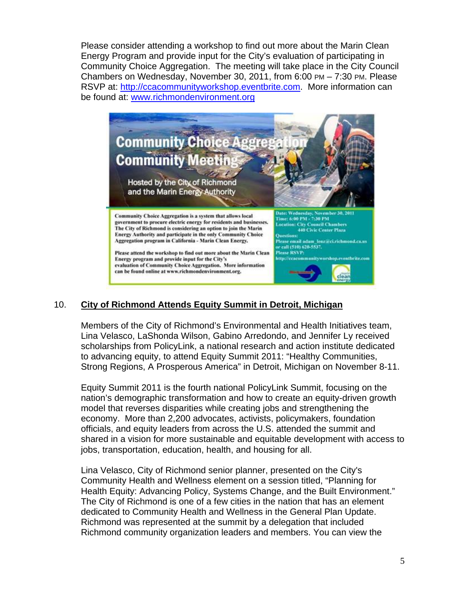Please consider attending a workshop to find out more about the Marin Clean Energy Program and provide input for the City's evaluation of participating in Community Choice Aggregation. The meeting will take place in the City Council Chambers on Wednesday, November 30, 2011, from 6:00 PM – 7:30 PM. Please RSVP at: http://ccacommunityworkshop.eventbrite.com. More information can be found at: www.richmondenvironment.org



# 10. **City of Richmond Attends Equity Summit in Detroit, Michigan**

Members of the City of Richmond's Environmental and Health Initiatives team, Lina Velasco, LaShonda Wilson, Gabino Arredondo, and Jennifer Ly received scholarships from PolicyLink, a national research and action institute dedicated to advancing equity, to attend Equity Summit 2011: "Healthy Communities, Strong Regions, A Prosperous America" in Detroit, Michigan on November 8-11.

Equity Summit 2011 is the fourth national PolicyLink Summit, focusing on the nation's demographic transformation and how to create an equity-driven growth model that reverses disparities while creating jobs and strengthening the economy. More than 2,200 advocates, activists, policymakers, foundation officials, and equity leaders from across the U.S. attended the summit and shared in a vision for more sustainable and equitable development with access to jobs, transportation, education, health, and housing for all.

Lina Velasco, City of Richmond senior planner, presented on the City's Community Health and Wellness element on a session titled, "Planning for Health Equity: Advancing Policy, Systems Change, and the Built Environment." The City of Richmond is one of a few cities in the nation that has an element dedicated to Community Health and Wellness in the General Plan Update. Richmond was represented at the summit by a delegation that included Richmond community organization leaders and members. You can view the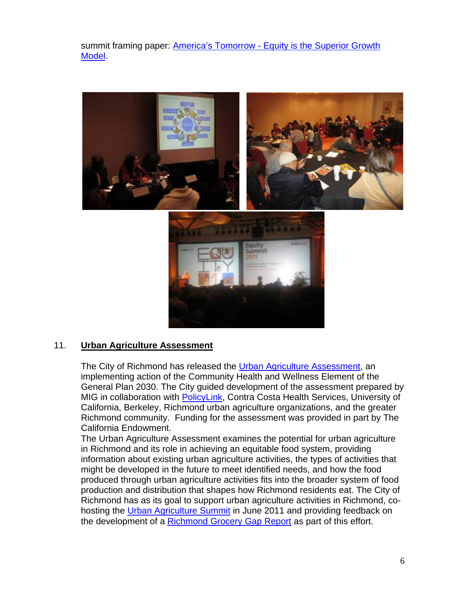summit framing paper: America's Tomorrow - Equity is the Superior Growth Model.



#### 11. **Urban Agriculture Assessment**

The City of Richmond has released the Urban Agriculture Assessment, an implementing action of the Community Health and Wellness Element of the General Plan 2030. The City guided development of the assessment prepared by MIG in collaboration with PolicyLink, Contra Costa Health Services, University of California, Berkeley, Richmond urban agriculture organizations, and the greater Richmond community. Funding for the assessment was provided in part by The California Endowment.

The Urban Agriculture Assessment examines the potential for urban agriculture in Richmond and its role in achieving an equitable food system, providing information about existing urban agriculture activities, the types of activities that might be developed in the future to meet identified needs, and how the food produced through urban agriculture activities fits into the broader system of food production and distribution that shapes how Richmond residents eat. The City of Richmond has as its goal to support urban agriculture activities in Richmond, cohosting the Urban Agriculture Summit in June 2011 and providing feedback on the development of a Richmond Grocery Gap Report as part of this effort.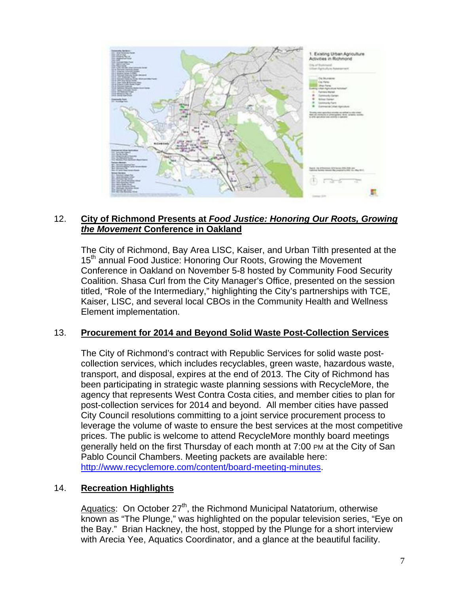

#### 12. **City of Richmond Presents at** *Food Justice: Honoring Our Roots, Growing the Movement* **Conference in Oakland**

The City of Richmond, Bay Area LISC, Kaiser, and Urban Tilth presented at the 15<sup>th</sup> annual Food Justice: Honoring Our Roots, Growing the Movement Conference in Oakland on November 5-8 hosted by Community Food Security Coalition. Shasa Curl from the City Manager's Office, presented on the session titled, "Role of the Intermediary," highlighting the City's partnerships with TCE, Kaiser, LISC, and several local CBOs in the Community Health and Wellness Element implementation.

# 13. **Procurement for 2014 and Beyond Solid Waste Post-Collection Services**

The City of Richmond's contract with Republic Services for solid waste postcollection services, which includes recyclables, green waste, hazardous waste, transport, and disposal, expires at the end of 2013. The City of Richmond has been participating in strategic waste planning sessions with RecycleMore, the agency that represents West Contra Costa cities, and member cities to plan for post-collection services for 2014 and beyond. All member cities have passed City Council resolutions committing to a joint service procurement process to leverage the volume of waste to ensure the best services at the most competitive prices. The public is welcome to attend RecycleMore monthly board meetings generally held on the first Thursday of each month at 7:00 PM at the City of San Pablo Council Chambers. Meeting packets are available here: http://www.recyclemore.com/content/board-meeting-minutes.

#### 14. **Recreation Highlights**

Aquatics: On October  $27<sup>th</sup>$ , the Richmond Municipal Natatorium, otherwise known as "The Plunge," was highlighted on the popular television series, "Eye on the Bay." Brian Hackney, the host, stopped by the Plunge for a short interview with Arecia Yee, Aquatics Coordinator, and a glance at the beautiful facility.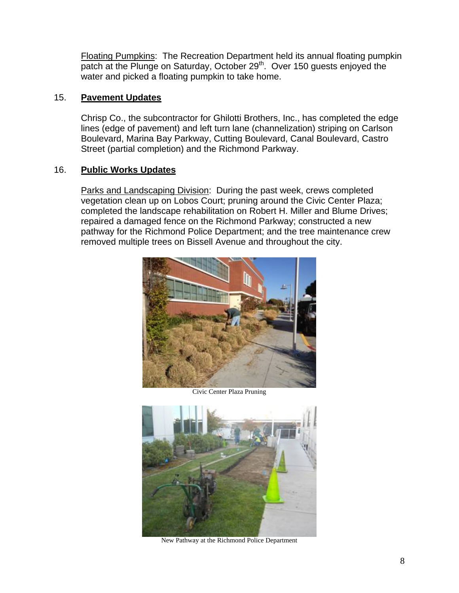Floating Pumpkins: The Recreation Department held its annual floating pumpkin patch at the Plunge on Saturday, October 29<sup>th</sup>. Over 150 guests enjoyed the water and picked a floating pumpkin to take home.

#### 15. **Pavement Updates**

Chrisp Co., the subcontractor for Ghilotti Brothers, Inc., has completed the edge lines (edge of pavement) and left turn lane (channelization) striping on Carlson Boulevard, Marina Bay Parkway, Cutting Boulevard, Canal Boulevard, Castro Street (partial completion) and the Richmond Parkway.

#### 16. **Public Works Updates**

Parks and Landscaping Division: During the past week, crews completed vegetation clean up on Lobos Court; pruning around the Civic Center Plaza; completed the landscape rehabilitation on Robert H. Miller and Blume Drives; repaired a damaged fence on the Richmond Parkway; constructed a new pathway for the Richmond Police Department; and the tree maintenance crew removed multiple trees on Bissell Avenue and throughout the city.



Civic Center Plaza Pruning



New Pathway at the Richmond Police Department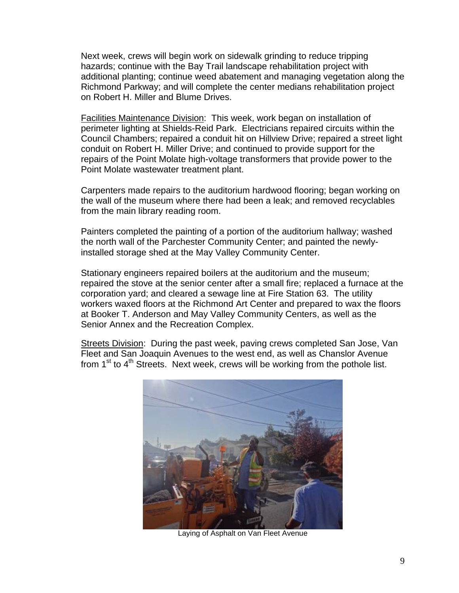Next week, crews will begin work on sidewalk grinding to reduce tripping hazards; continue with the Bay Trail landscape rehabilitation project with additional planting; continue weed abatement and managing vegetation along the Richmond Parkway; and will complete the center medians rehabilitation project on Robert H. Miller and Blume Drives.

Facilities Maintenance Division: This week, work began on installation of perimeter lighting at Shields-Reid Park. Electricians repaired circuits within the Council Chambers; repaired a conduit hit on Hillview Drive; repaired a street light conduit on Robert H. Miller Drive; and continued to provide support for the repairs of the Point Molate high-voltage transformers that provide power to the Point Molate wastewater treatment plant.

Carpenters made repairs to the auditorium hardwood flooring; began working on the wall of the museum where there had been a leak; and removed recyclables from the main library reading room.

Painters completed the painting of a portion of the auditorium hallway; washed the north wall of the Parchester Community Center; and painted the newlyinstalled storage shed at the May Valley Community Center.

Stationary engineers repaired boilers at the auditorium and the museum; repaired the stove at the senior center after a small fire; replaced a furnace at the corporation yard; and cleared a sewage line at Fire Station 63. The utility workers waxed floors at the Richmond Art Center and prepared to wax the floors at Booker T. Anderson and May Valley Community Centers, as well as the Senior Annex and the Recreation Complex.

Streets Division: During the past week, paving crews completed San Jose, Van Fleet and San Joaquin Avenues to the west end, as well as Chanslor Avenue from  $1<sup>st</sup>$  to  $4<sup>th</sup>$  Streets. Next week, crews will be working from the pothole list.



Laying of Asphalt on Van Fleet Avenue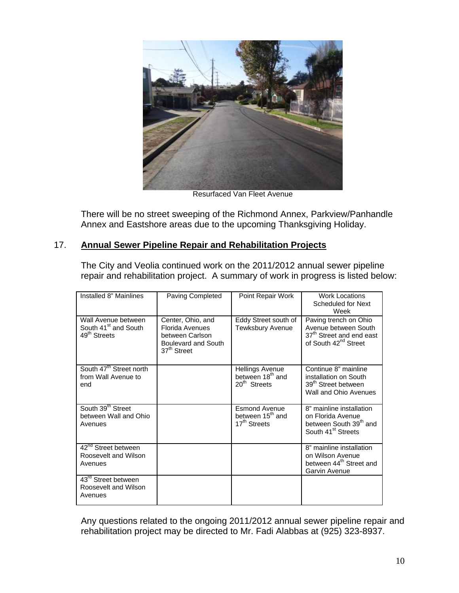

Resurfaced Van Fleet Avenue

There will be no street sweeping of the Richmond Annex, Parkview/Panhandle Annex and Eastshore areas due to the upcoming Thanksgiving Holiday.

#### 17. **Annual Sewer Pipeline Repair and Rehabilitation Projects**

The City and Veolia continued work on the 2011/2012 annual sewer pipeline repair and rehabilitation project. A summary of work in progress is listed below:

| Installed 8" Mainlines                                                              | Paving Completed                                                                                          | Point Repair Work                                                                  | <b>Work Locations</b><br>Scheduled for Next<br>Week                                                                       |
|-------------------------------------------------------------------------------------|-----------------------------------------------------------------------------------------------------------|------------------------------------------------------------------------------------|---------------------------------------------------------------------------------------------------------------------------|
| Wall Avenue between<br>South 41 <sup>st</sup> and South<br>49 <sup>th</sup> Streets | Center, Ohio, and<br>Florida Avenues<br>between Carlson<br>Boulevard and South<br>37 <sup>th</sup> Street | Eddy Street south of<br>Tewksbury Avenue                                           | Paving trench on Ohio<br>Avenue between South<br>37 <sup>th</sup> Street and end east<br>of South 42 <sup>nd</sup> Street |
| South 47 <sup>th</sup> Street north<br>from Wall Avenue to<br>end                   |                                                                                                           | <b>Hellings Avenue</b><br>between 18 <sup>th</sup> and<br>20 <sup>th</sup> Streets | Continue 8" mainline<br>installation on South<br>39 <sup>th</sup> Street between<br>Wall and Ohio Avenues                 |
| South 39 <sup>th</sup> Street<br>between Wall and Ohio<br>Avenues                   |                                                                                                           | <b>Esmond Avenue</b><br>between 15 <sup>th</sup> and<br>17 <sup>th</sup> Streets   | 8" mainline installation<br>on Florida Avenue<br>between South 39th and<br>South 41 <sup>st</sup> Streets                 |
| $\overline{42}^{\text{nd}}$ Street between<br>Roosevelt and Wilson<br>Avenues       |                                                                                                           |                                                                                    | 8" mainline installation<br>on Wilson Avenue<br>between 44 <sup>th</sup> Street and<br>Garvin Avenue                      |
| 43 <sup>rd</sup> Street between<br>Roosevelt and Wilson<br>Avenues                  |                                                                                                           |                                                                                    |                                                                                                                           |

Any questions related to the ongoing 2011/2012 annual sewer pipeline repair and rehabilitation project may be directed to Mr. Fadi Alabbas at (925) 323-8937.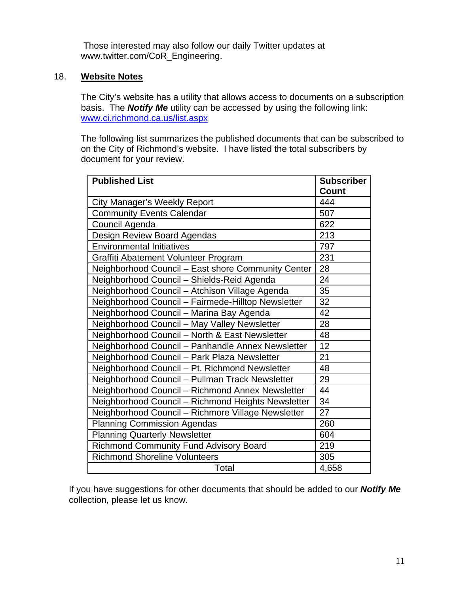Those interested may also follow our daily Twitter updates at www.twitter.com/CoR\_Engineering.

#### 18. **Website Notes**

The City's website has a utility that allows access to documents on a subscription basis. The *Notify Me* utility can be accessed by using the following link: www.ci.richmond.ca.us/list.aspx

The following list summarizes the published documents that can be subscribed to on the City of Richmond's website. I have listed the total subscribers by document for your review.

| <b>Published List</b>                              | <b>Subscriber</b><br><b>Count</b> |
|----------------------------------------------------|-----------------------------------|
| <b>City Manager's Weekly Report</b>                | 444                               |
| <b>Community Events Calendar</b>                   | 507                               |
| Council Agenda                                     | 622                               |
| Design Review Board Agendas                        | 213                               |
| <b>Environmental Initiatives</b>                   | 797                               |
| Graffiti Abatement Volunteer Program               | 231                               |
| Neighborhood Council - East shore Community Center | 28                                |
| Neighborhood Council - Shields-Reid Agenda         | 24                                |
| Neighborhood Council - Atchison Village Agenda     | 35                                |
| Neighborhood Council - Fairmede-Hilltop Newsletter | 32                                |
| Neighborhood Council - Marina Bay Agenda           | 42                                |
| Neighborhood Council - May Valley Newsletter       | 28                                |
| Neighborhood Council - North & East Newsletter     | 48                                |
| Neighborhood Council - Panhandle Annex Newsletter  | 12                                |
| Neighborhood Council - Park Plaza Newsletter       | 21                                |
| Neighborhood Council - Pt. Richmond Newsletter     | 48                                |
| Neighborhood Council - Pullman Track Newsletter    | 29                                |
| Neighborhood Council - Richmond Annex Newsletter   | 44                                |
| Neighborhood Council - Richmond Heights Newsletter | 34                                |
| Neighborhood Council - Richmore Village Newsletter | 27                                |
| <b>Planning Commission Agendas</b>                 | 260                               |
| <b>Planning Quarterly Newsletter</b>               | 604                               |
| <b>Richmond Community Fund Advisory Board</b>      | 219                               |
| <b>Richmond Shoreline Volunteers</b>               | 305                               |
| Total                                              | 4,658                             |

If you have suggestions for other documents that should be added to our *Notify Me* collection, please let us know.